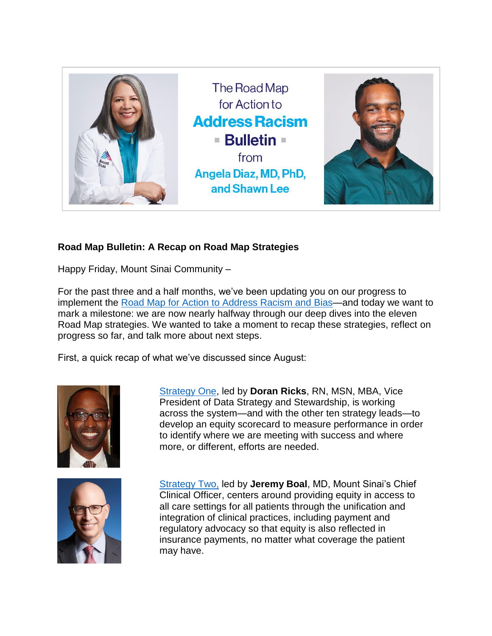

## **Road Map Bulletin: A Recap on Road Map Strategies**

Happy Friday, Mount Sinai Community –

For the past three and a half months, we've been updating you on our progress to implement the [Road Map for Action to Address Racism and](https://www.mountsinai.org/about/addressing-racism/road-map) Bias—and today we want to mark a milestone: we are now nearly halfway through our deep dives into the eleven Road Map strategies. We wanted to take a moment to recap these strategies, reflect on progress so far, and talk more about next steps.

First, a quick recap of what we've discussed since August:



[Strategy One,](https://www.mountsinai.org/files/ISMMS/Assets/About%20the%20School/Road-Map-for-Action-Bulletin-2-A-Deep-Dive-Into-Strategy-One.pdf) led by **Doran Ricks**, RN, MSN, MBA, Vice President of Data Strategy and Stewardship, is working across the system—and with the other ten strategy leads—to develop an equity scorecard to measure performance in order to identify where we are meeting with success and where more, or different, efforts are needed.



[Strategy Two,](https://www.mountsinai.org/files/MSHealth/Assets/HS/About/Road-Map-for-Action-Bulletin-4-A-Deep-Dive-Into-Strategy-Two.pdf) led by **Jeremy Boal**, MD, Mount Sinai's Chief Clinical Officer, centers around providing equity in access to all care settings for all patients through the unification and integration of clinical practices, including payment and regulatory advocacy so that equity is also reflected in insurance payments, no matter what coverage the patient may have.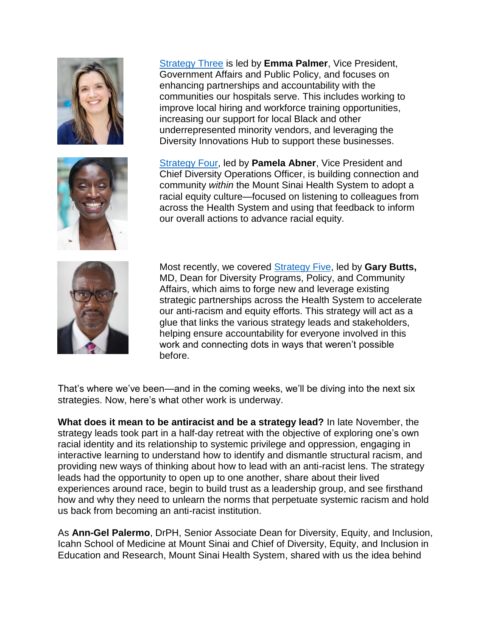



[Strategy Three](https://www.mountsinai.org/files/MSHealth/Assets/HS/About/Road-Map-for-Action-Bulletin-6-Flyers-and-Strategy-Three.pdf) is led by **Emma Palmer**, Vice President, Government Affairs and Public Policy, and focuses on enhancing partnerships and accountability with the communities our hospitals serve. This includes working to improve local hiring and workforce training opportunities, increasing our support for local Black and other underrepresented minority vendors, and leveraging the Diversity Innovations Hub to support these businesses.

[Strategy Four,](https://www.mountsinai.org/files/MSHealth/Assets/HS/About/Road-Map-for-Action-Bulletin-10.21-A-Deep-Dive-into-Strategy.pdf) led by **Pamela Abner**, Vice President and Chief Diversity Operations Officer, is building connection and community *within* the Mount Sinai Health System to adopt a racial equity culture—focused on listening to colleagues from across the Health System and using that feedback to inform our overall actions to advance racial equity.



Most recently, we covered [Strategy Five,](https://www.mountsinai.org/files/MSHealth/Assets/HS/About/Task-Force/RoadMapforActionBulletin-ADeepDiveintoStrategyFive.pdf) led by **Gary Butts,** MD, Dean for Diversity Programs, Policy, and Community Affairs, which aims to forge new and leverage existing strategic partnerships across the Health System to accelerate our anti-racism and equity efforts. This strategy will act as a glue that links the various strategy leads and stakeholders, helping ensure accountability for everyone involved in this work and connecting dots in ways that weren't possible before.

That's where we've been—and in the coming weeks, we'll be diving into the next six strategies. Now, here's what other work is underway.

**What does it mean to be antiracist and be a strategy lead?** In late November, the strategy leads took part in a half-day retreat with the objective of exploring one's own racial identity and its relationship to systemic privilege and oppression, engaging in interactive learning to understand how to identify and dismantle structural racism, and providing new ways of thinking about how to lead with an anti-racist lens. The strategy leads had the opportunity to open up to one another, share about their lived experiences around race, begin to build trust as a leadership group, and see firsthand how and why they need to unlearn the norms that perpetuate systemic racism and hold us back from becoming an anti-racist institution.

As **Ann-Gel Palermo**, DrPH, Senior Associate Dean for Diversity, Equity, and Inclusion, Icahn School of Medicine at Mount Sinai and Chief of Diversity, Equity, and Inclusion in Education and Research, Mount Sinai Health System, shared with us the idea behind